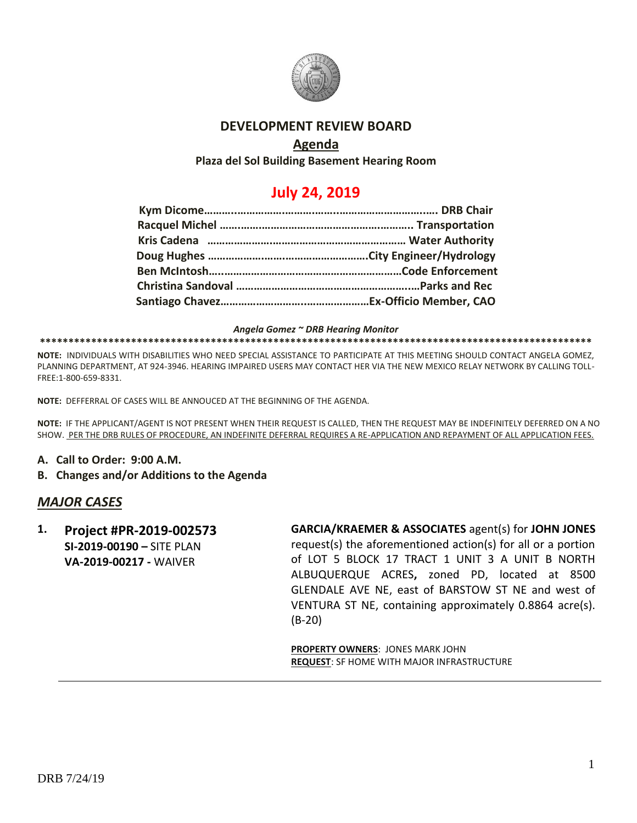

### **DEVELOPMENT REVIEW BOARD**

## **Agenda**

**Plaza del Sol Building Basement Hearing Room**

# **July 24, 2019**

*Angela Gomez ~ DRB Hearing Monitor*

**\*\*\*\*\*\*\*\*\*\*\*\*\*\*\*\*\*\*\*\*\*\*\*\*\*\*\*\*\*\*\*\*\*\*\*\*\*\*\*\*\*\*\*\*\*\*\*\*\*\*\*\*\*\*\*\*\*\*\*\*\*\*\*\*\*\*\*\*\*\*\*\*\*\*\*\*\*\*\*\*\*\*\*\*\*\*\*\*\*\*\*\*\*\*\*\*\***

**NOTE:** INDIVIDUALS WITH DISABILITIES WHO NEED SPECIAL ASSISTANCE TO PARTICIPATE AT THIS MEETING SHOULD CONTACT ANGELA GOMEZ, PLANNING DEPARTMENT, AT 924-3946. HEARING IMPAIRED USERS MAY CONTACT HER VIA THE NEW MEXICO RELAY NETWORK BY CALLING TOLL-FREE:1-800-659-8331.

**NOTE:** DEFFERRAL OF CASES WILL BE ANNOUCED AT THE BEGINNING OF THE AGENDA.

**NOTE:** IF THE APPLICANT/AGENT IS NOT PRESENT WHEN THEIR REQUEST IS CALLED, THEN THE REQUEST MAY BE INDEFINITELY DEFERRED ON A NO SHOW. PER THE DRB RULES OF PROCEDURE, AN INDEFINITE DEFERRAL REQUIRES A RE-APPLICATION AND REPAYMENT OF ALL APPLICATION FEES.

- **A. Call to Order: 9:00 A.M.**
- **B. Changes and/or Additions to the Agenda**

### *MAJOR CASES*

**1. Project #PR-2019-002573 SI-2019-00190 –** SITE PLAN **VA-2019-00217 -** WAIVER

**GARCIA/KRAEMER & ASSOCIATES** agent(s) for **JOHN JONES**

request(s) the aforementioned action(s) for all or a portion of LOT 5 BLOCK 17 TRACT 1 UNIT 3 A UNIT B NORTH ALBUQUERQUE ACRES**,** zoned PD, located at 8500 GLENDALE AVE NE, east of BARSTOW ST NE and west of VENTURA ST NE, containing approximately 0.8864 acre(s). (B-20)

**PROPERTY OWNERS**: JONES MARK JOHN **REQUEST**: SF HOME WITH MAJOR INFRASTRUCTURE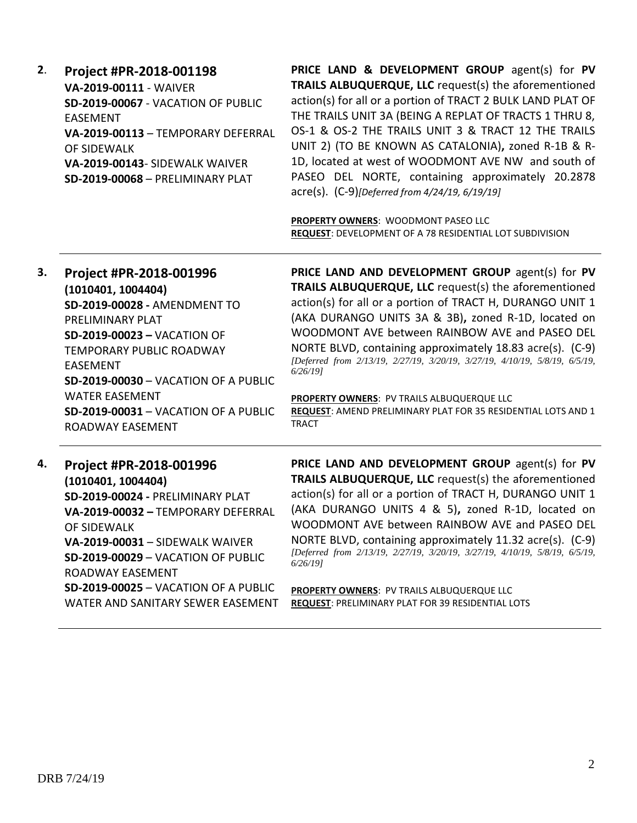| 2. | Project #PR-2018-001198<br>VA-2019-00111 - WAIVER<br>SD-2019-00067 - VACATION OF PUBLIC<br><b>EASEMENT</b><br>VA-2019-00113 - TEMPORARY DEFERRAL<br>OF SIDEWALK<br>VA-2019-00143- SIDEWALK WAIVER<br><b>SD-2019-00068 - PRELIMINARY PLAT</b>                                                                                             | PRICE LAND & DEVELOPMENT GROUP agent(s) for PV<br>TRAILS ALBUQUERQUE, LLC request(s) the aforementioned<br>action(s) for all or a portion of TRACT 2 BULK LAND PLAT OF<br>THE TRAILS UNIT 3A (BEING A REPLAT OF TRACTS 1 THRU 8,<br>OS-1 & OS-2 THE TRAILS UNIT 3 & TRACT 12 THE TRAILS<br>UNIT 2) (TO BE KNOWN AS CATALONIA), zoned R-1B & R-<br>1D, located at west of WOODMONT AVE NW and south of<br>PASEO DEL NORTE, containing approximately 20.2878<br>acre(s). (C-9)[Deferred from 4/24/19, 6/19/19]<br>PROPERTY OWNERS: WOODMONT PASEO LLC<br>REQUEST: DEVELOPMENT OF A 78 RESIDENTIAL LOT SUBDIVISION |
|----|------------------------------------------------------------------------------------------------------------------------------------------------------------------------------------------------------------------------------------------------------------------------------------------------------------------------------------------|-----------------------------------------------------------------------------------------------------------------------------------------------------------------------------------------------------------------------------------------------------------------------------------------------------------------------------------------------------------------------------------------------------------------------------------------------------------------------------------------------------------------------------------------------------------------------------------------------------------------|
| 3. | Project #PR-2018-001996<br>(1010401, 1004404)<br>SD-2019-00028 - AMENDMENT TO<br>PRELIMINARY PLAT<br><b>SD-2019-00023 - VACATION OF</b><br><b>TEMPORARY PUBLIC ROADWAY</b><br><b>EASEMENT</b><br><b>SD-2019-00030 - VACATION OF A PUBLIC</b><br><b>WATER EASEMENT</b><br><b>SD-2019-00031 - VACATION OF A PUBLIC</b><br>ROADWAY EASEMENT | PRICE LAND AND DEVELOPMENT GROUP agent(s) for PV<br><b>TRAILS ALBUQUERQUE, LLC</b> request(s) the aforementioned<br>action(s) for all or a portion of TRACT H, DURANGO UNIT 1<br>(AKA DURANGO UNITS 3A & 3B), zoned R-1D, located on<br>WOODMONT AVE between RAINBOW AVE and PASEO DEL<br>NORTE BLVD, containing approximately 18.83 acre(s). (C-9)<br>[Deferred from 2/13/19, 2/27/19, 3/20/19, 3/27/19, 4/10/19, 5/8/19, 6/5/19,<br>6/26/191<br>PROPERTY OWNERS: PV TRAILS ALBUQUERQUE LLC<br>REQUEST: AMEND PRELIMINARY PLAT FOR 35 RESIDENTIAL LOTS AND 1<br><b>TRACT</b>                                   |

## **4. Project #PR-2018-001996**

**(1010401, 1004404) SD-2019-00024 -** PRELIMINARY PLAT **VA-2019-00032 –** TEMPORARY DEFERRAL OF SIDEWALK **VA-2019-00031** – SIDEWALK WAIVER **SD-2019-00029** – VACATION OF PUBLIC ROADWAY EASEMENT **SD-2019-00025** – VACATION OF A PUBLIC WATER AND SANITARY SEWER EASEMENT **PRICE LAND AND DEVELOPMENT GROUP** agent(s) for **PV TRAILS ALBUQUERQUE, LLC** request(s) the aforementioned action(s) for all or a portion of TRACT H, DURANGO UNIT 1 (AKA DURANGO UNITS 4 & 5)**,** zoned R-1D, located on WOODMONT AVE between RAINBOW AVE and PASEO DEL NORTE BLVD, containing approximately 11.32 acre(s). (C-9) *[Deferred from 2/13/19, 2/27/19, 3/20/19, 3/27/19, 4/10/19, 5/8/19, 6/5/19, 6/26/19]*

**PROPERTY OWNERS**: PV TRAILS ALBUQUERQUE LLC **REQUEST**: PRELIMINARY PLAT FOR 39 RESIDENTIAL LOTS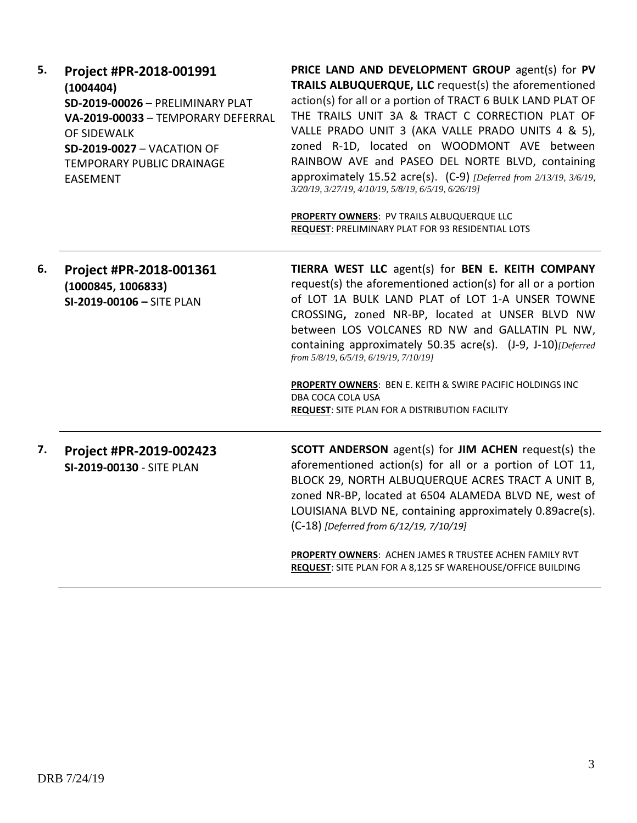| 5. | Project #PR-2018-001991<br>(1004404)<br>SD-2019-00026 - PRELIMINARY PLAT<br>VA-2019-00033 - TEMPORARY DEFERRAL<br>OF SIDEWALK<br><b>SD-2019-0027 - VACATION OF</b><br>TEMPORARY PUBLIC DRAINAGE<br><b>EASEMENT</b> | PRICE LAND AND DEVELOPMENT GROUP agent(s) for PV<br>TRAILS ALBUQUERQUE, LLC request(s) the aforementioned<br>action(s) for all or a portion of TRACT 6 BULK LAND PLAT OF<br>THE TRAILS UNIT 3A & TRACT C CORRECTION PLAT OF<br>VALLE PRADO UNIT 3 (AKA VALLE PRADO UNITS 4 & 5),<br>zoned R-1D, located on WOODMONT AVE between<br>RAINBOW AVE and PASEO DEL NORTE BLVD, containing<br>approximately 15.52 acre(s). (C-9) [Deferred from 2/13/19, 3/6/19,<br>3/20/19, 3/27/19, 4/10/19, 5/8/19, 6/5/19, 6/26/19]                |
|----|--------------------------------------------------------------------------------------------------------------------------------------------------------------------------------------------------------------------|---------------------------------------------------------------------------------------------------------------------------------------------------------------------------------------------------------------------------------------------------------------------------------------------------------------------------------------------------------------------------------------------------------------------------------------------------------------------------------------------------------------------------------|
|    |                                                                                                                                                                                                                    | PROPERTY OWNERS: PV TRAILS ALBUQUERQUE LLC<br><b>REQUEST: PRELIMINARY PLAT FOR 93 RESIDENTIAL LOTS</b>                                                                                                                                                                                                                                                                                                                                                                                                                          |
| 6. | Project #PR-2018-001361<br>(1000845, 1006833)<br>SI-2019-00106 - SITE PLAN                                                                                                                                         | TIERRA WEST LLC agent(s) for BEN E. KEITH COMPANY<br>request(s) the aforementioned action(s) for all or a portion<br>of LOT 1A BULK LAND PLAT of LOT 1-A UNSER TOWNE<br>CROSSING, zoned NR-BP, located at UNSER BLVD NW<br>between LOS VOLCANES RD NW and GALLATIN PL NW,<br>containing approximately 50.35 acre(s). (J-9, J-10)[Deferred<br>from 5/8/19, 6/5/19, 6/19/19, 7/10/19]<br>PROPERTY OWNERS: BEN E. KEITH & SWIRE PACIFIC HOLDINGS INC<br>DBA COCA COLA USA<br><b>REQUEST: SITE PLAN FOR A DISTRIBUTION FACILITY</b> |
| 7. | Project #PR-2019-002423<br>SI-2019-00130 - SITE PLAN                                                                                                                                                               | <b>SCOTT ANDERSON</b> agent(s) for JIM ACHEN request(s) the<br>aforementioned action(s) for all or a portion of LOT 11,<br>BLOCK 29, NORTH ALBUQUERQUE ACRES TRACT A UNIT B,<br>zoned NR-BP, located at 6504 ALAMEDA BLVD NE, west of<br>LOUISIANA BLVD NE, containing approximately 0.89acre(s).<br>(C-18) [Deferred from 6/12/19, 7/10/19]                                                                                                                                                                                    |
|    |                                                                                                                                                                                                                    | PROPERTY OWNERS: ACHEN JAMES R TRUSTEE ACHEN FAMILY RVT<br>REQUEST: SITE PLAN FOR A 8,125 SF WAREHOUSE/OFFICE BUILDING                                                                                                                                                                                                                                                                                                                                                                                                          |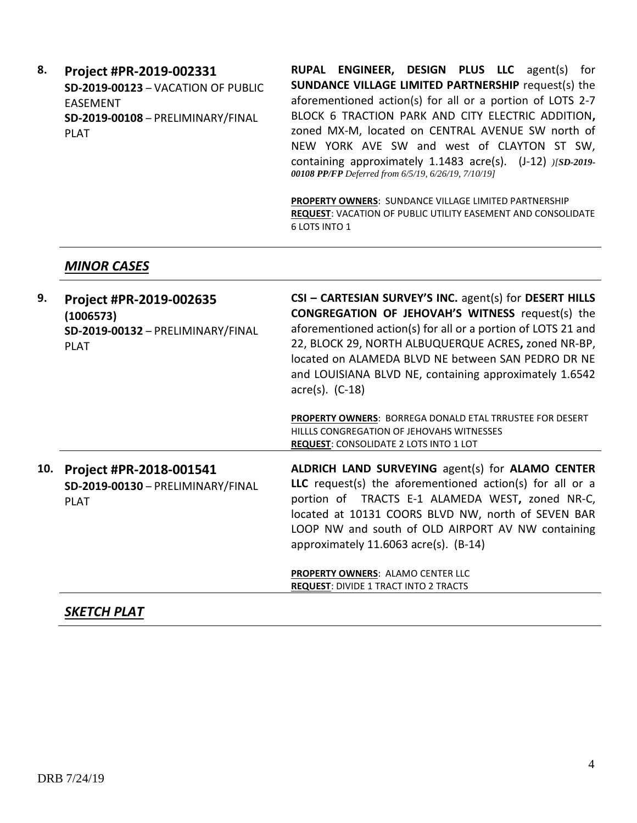**8. Project #PR-2019-002331 SD-2019-00123** – VACATION OF PUBLIC EASEMENT **SD-2019-00108** – PRELIMINARY/FINAL PLAT

**RUPAL ENGINEER, DESIGN PLUS LLC** agent(s) for **SUNDANCE VILLAGE LIMITED PARTNERSHIP** request(s) the aforementioned action(s) for all or a portion of LOTS 2-7 BLOCK 6 TRACTION PARK AND CITY ELECTRIC ADDITION**,**  zoned MX-M, located on CENTRAL AVENUE SW north of NEW YORK AVE SW and west of CLAYTON ST SW, containing approximately 1.1483 acre(s). (J-12) *)[SD-2019- 00108 PP/FP Deferred from 6/5/19, 6/26/19, 7/10/19]*

**PROPERTY OWNERS**: SUNDANCE VILLAGE LIMITED PARTNERSHIP **REQUEST**: VACATION OF PUBLIC UTILITY EASEMENT AND CONSOLIDATE 6 LOTS INTO 1

### *MINOR CASES*

| 9.  | Project #PR-2019-002635<br>(1006573)<br>SD-2019-00132 - PRELIMINARY/FINAL<br><b>PLAT</b> | CSI - CARTESIAN SURVEY'S INC. agent(s) for DESERT HILLS<br><b>CONGREGATION OF JEHOVAH'S WITNESS request(s) the</b><br>aforementioned action(s) for all or a portion of LOTS 21 and<br>22, BLOCK 29, NORTH ALBUQUERQUE ACRES, zoned NR-BP,<br>located on ALAMEDA BLVD NE between SAN PEDRO DR NE<br>and LOUISIANA BLVD NE, containing approximately 1.6542<br>$\arccos 0$ . (C-18) |
|-----|------------------------------------------------------------------------------------------|-----------------------------------------------------------------------------------------------------------------------------------------------------------------------------------------------------------------------------------------------------------------------------------------------------------------------------------------------------------------------------------|
|     |                                                                                          | <b>PROPERTY OWNERS: BORREGA DONALD ETAL TRRUSTEE FOR DESERT</b><br>HILLLS CONGREGATION OF JEHOVAHS WITNESSES<br>REQUEST: CONSOLIDATE 2 LOTS INTO 1 LOT                                                                                                                                                                                                                            |
| 10. | Project #PR-2018-001541<br>SD-2019-00130 - PRELIMINARY/FINAL<br><b>PLAT</b>              | <b>ALDRICH LAND SURVEYING agent(s) for ALAMO CENTER</b><br>LLC request(s) the aforementioned $action(s)$ for all or a<br>portion of TRACTS E-1 ALAMEDA WEST, zoned NR-C,<br>located at 10131 COORS BLVD NW, north of SEVEN BAR<br>LOOP NW and south of OLD AIRPORT AV NW containing<br>approximately $11.6063$ acre(s). (B-14)                                                    |
|     |                                                                                          | <b>PROPERTY OWNERS: ALAMO CENTER LLC</b><br><b>REQUEST: DIVIDE 1 TRACT INTO 2 TRACTS</b>                                                                                                                                                                                                                                                                                          |

### *SKETCH PLAT*